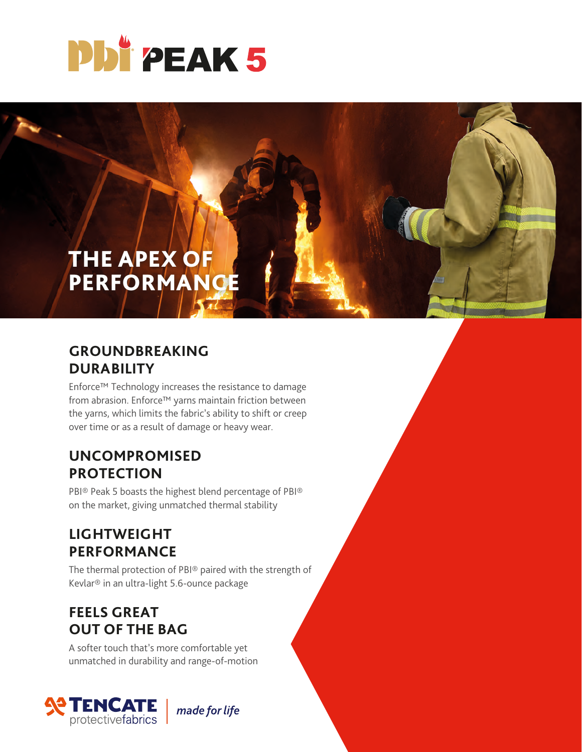

# THE APEX OF PERFORMANCE

#### **GROUNDBREAKING DURABILITY**

Enforce™ Technology increases the resistance to damage from abrasion. Enforce™ yarns maintain friction between the yarns, which limits the fabric's ability to shift or creep over time or as a result of damage or heavy wear.

#### **UNCOMPROMISED PROTECTION**

PBI® Peak 5 boasts the highest blend percentage of PBI® on the market, giving unmatched thermal stability

## **LIGHTWEIGHT PERFORMANCE**

The thermal protection of PBI® paired with the strength of Kevlar® in an ultra-light 5.6-ounce package

### **FEELS GREAT OUT OF THE BAG**

A softer touch that's more comfortable yet unmatched in durability and range-of-motion